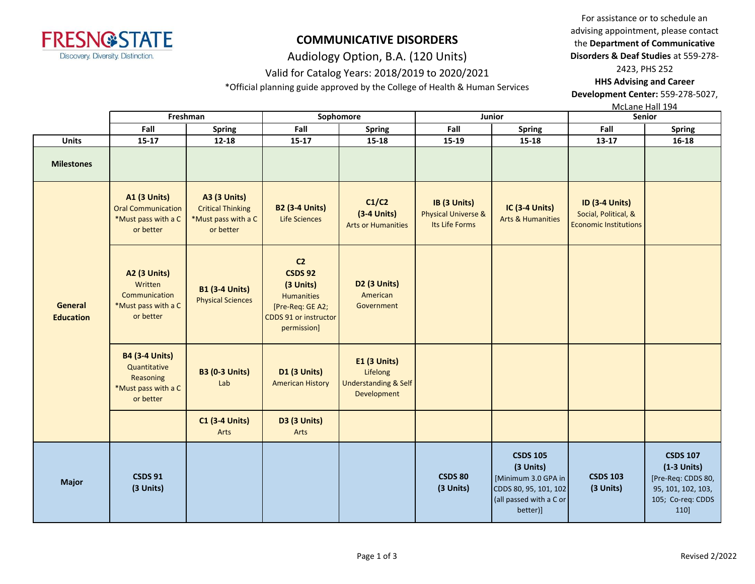

Audiology Option, B.A. (120 Units)

## Valid for Catalog Years: 2018/2019 to 2020/2021

\*Official planning guide approved by the College of Health & Human Services

For assistance or to schedule an advising appointment, please contact the **Department of Communicative Disorders & Deaf Studies** at 559-278- 2423, PHS 252

**HHS Advising and Career Development Center:** 559-278-5027,

McLane Hall 194

|                                    | Freshman                                                                               |                                                                                     |                                                                                                                         | Sophomore                                                                  |                                                       | Junior                                                                                                              | 10101011011111177<br><b>Senior</b>                                            |                                                                                                           |
|------------------------------------|----------------------------------------------------------------------------------------|-------------------------------------------------------------------------------------|-------------------------------------------------------------------------------------------------------------------------|----------------------------------------------------------------------------|-------------------------------------------------------|---------------------------------------------------------------------------------------------------------------------|-------------------------------------------------------------------------------|-----------------------------------------------------------------------------------------------------------|
|                                    | Fall                                                                                   | <b>Spring</b>                                                                       | Fall                                                                                                                    | <b>Spring</b>                                                              | Fall                                                  | Spring                                                                                                              | Fall                                                                          | <b>Spring</b>                                                                                             |
| <b>Units</b>                       | $15 - 17$                                                                              | $12 - 18$                                                                           | $15 - 17$                                                                                                               | $15 - 18$                                                                  | 15-19                                                 | 15-18                                                                                                               | $13 - 17$                                                                     | $16 - 18$                                                                                                 |
| <b>Milestones</b>                  |                                                                                        |                                                                                     |                                                                                                                         |                                                                            |                                                       |                                                                                                                     |                                                                               |                                                                                                           |
|                                    | <b>A1 (3 Units)</b><br><b>Oral Communication</b><br>*Must pass with a C<br>or better   | <b>A3 (3 Units)</b><br><b>Critical Thinking</b><br>*Must pass with a C<br>or better | <b>B2 (3-4 Units)</b><br><b>Life Sciences</b>                                                                           | C1/C2<br>$(3-4$ Units)<br><b>Arts or Humanities</b>                        | IB (3 Units)<br>Physical Universe &<br>Its Life Forms | IC (3-4 Units)<br><b>Arts &amp; Humanities</b>                                                                      | <b>ID (3-4 Units)</b><br>Social, Political, &<br><b>Economic Institutions</b> |                                                                                                           |
| <b>General</b><br><b>Education</b> | <b>A2 (3 Units)</b><br>Written<br>Communication<br>*Must pass with a C<br>or better    | <b>B1 (3-4 Units)</b><br><b>Physical Sciences</b>                                   | C <sub>2</sub><br><b>CSDS 92</b><br>(3 Units)<br>Humanities<br>[Pre-Req: GE A2;<br>CDDS 91 or instructor<br>permission] | D2 (3 Units)<br>American<br>Government                                     |                                                       |                                                                                                                     |                                                                               |                                                                                                           |
|                                    | <b>B4 (3-4 Units)</b><br>Quantitative<br>Reasoning<br>*Must pass with a C<br>or better | <b>B3 (0-3 Units)</b><br>Lab                                                        | <b>D1 (3 Units)</b><br><b>American History</b>                                                                          | E1 (3 Units)<br>Lifelong<br><b>Understanding &amp; Self</b><br>Development |                                                       |                                                                                                                     |                                                                               |                                                                                                           |
|                                    |                                                                                        | <b>C1 (3-4 Units)</b><br>Arts                                                       | <b>D3 (3 Units)</b><br>Arts                                                                                             |                                                                            |                                                       |                                                                                                                     |                                                                               |                                                                                                           |
| <b>Major</b>                       | <b>CSDS 91</b><br>(3 Units)                                                            |                                                                                     |                                                                                                                         |                                                                            | <b>CSDS 80</b><br>(3 Units)                           | <b>CSDS 105</b><br>(3 Units)<br>[Minimum 3.0 GPA in<br>CDDS 80, 95, 101, 102<br>(all passed with a C or<br>better)] | <b>CSDS 103</b><br>(3 Units)                                                  | <b>CSDS 107</b><br>$(1-3$ Units)<br>[Pre-Req: CDDS 80,<br>95, 101, 102, 103,<br>105; Co-req: CDDS<br>110] |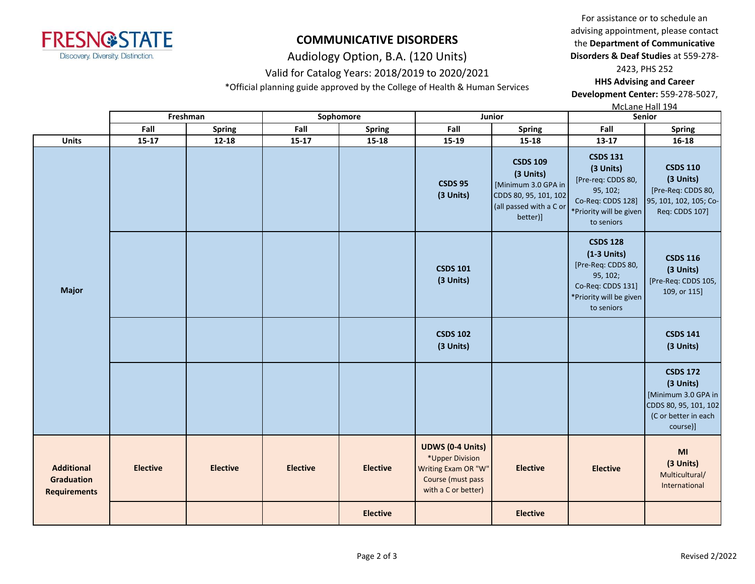

Audiology Option, B.A. (120 Units)

## Valid for Catalog Years: 2018/2019 to 2020/2021

\*Official planning guide approved by the College of Health & Human Services

For assistance or to schedule an advising appointment, please contact the **Department of Communicative Disorders & Deaf Studies** at 559-278-

2423, PHS 252

**HHS Advising and Career Development Center:** 559-278-5027,

McLane Hall 194

|                                                        |                 | Freshman        |                 | Sophomore       | Junior                                                                                                        |                                                                                                                     | Senior                                                                                                                           |                                                                                                                  |  |
|--------------------------------------------------------|-----------------|-----------------|-----------------|-----------------|---------------------------------------------------------------------------------------------------------------|---------------------------------------------------------------------------------------------------------------------|----------------------------------------------------------------------------------------------------------------------------------|------------------------------------------------------------------------------------------------------------------|--|
|                                                        | Fall            | <b>Spring</b>   | Fall            | <b>Spring</b>   | Fall                                                                                                          | <b>Spring</b>                                                                                                       | Fall                                                                                                                             | <b>Spring</b>                                                                                                    |  |
| <b>Units</b>                                           | $15 - 17$       | $12 - 18$       | $15 - 17$       | $15 - 18$       | 15-19                                                                                                         | 15-18                                                                                                               | $13 - 17$                                                                                                                        | $16 - 18$                                                                                                        |  |
|                                                        |                 |                 |                 |                 | <b>CSDS 95</b><br>(3 Units)                                                                                   | <b>CSDS 109</b><br>(3 Units)<br>[Minimum 3.0 GPA in<br>CDDS 80, 95, 101, 102<br>(all passed with a C or<br>better)] | <b>CSDS 131</b><br>(3 Units)<br>[Pre-req: CDDS 80,<br>95, 102;<br>Co-Req: CDDS 128]<br>*Priority will be given<br>to seniors     | <b>CSDS 110</b><br>(3 Units)<br>[Pre-Req: CDDS 80,<br>95, 101, 102, 105; Co-<br>Req: CDDS 107]                   |  |
| <b>Major</b>                                           |                 |                 |                 |                 | <b>CSDS 101</b><br>(3 Units)                                                                                  |                                                                                                                     | <b>CSDS 128</b><br>$(1-3$ Units)<br>[Pre-Req: CDDS 80,<br>95, 102;<br>Co-Req: CDDS 131]<br>*Priority will be given<br>to seniors | <b>CSDS 116</b><br>(3 Units)<br>[Pre-Req: CDDS 105,<br>109, or 115]                                              |  |
|                                                        |                 |                 |                 |                 | <b>CSDS 102</b><br>(3 Units)                                                                                  |                                                                                                                     |                                                                                                                                  | <b>CSDS 141</b><br>(3 Units)                                                                                     |  |
|                                                        |                 |                 |                 |                 |                                                                                                               |                                                                                                                     |                                                                                                                                  | <b>CSDS 172</b><br>(3 Units)<br>[Minimum 3.0 GPA in<br>CDDS 80, 95, 101, 102<br>(C or better in each<br>course)] |  |
| <b>Additional</b><br>Graduation<br><b>Requirements</b> | <b>Elective</b> | <b>Elective</b> | <b>Elective</b> | <b>Elective</b> | <b>UDWS (0-4 Units)</b><br>*Upper Division<br>Writing Exam OR "W"<br>Course (must pass<br>with a C or better) | <b>Elective</b>                                                                                                     | <b>Elective</b>                                                                                                                  | MI<br>(3 Units)<br>Multicultural/<br>International                                                               |  |
|                                                        |                 |                 |                 | <b>Elective</b> |                                                                                                               | <b>Elective</b>                                                                                                     |                                                                                                                                  |                                                                                                                  |  |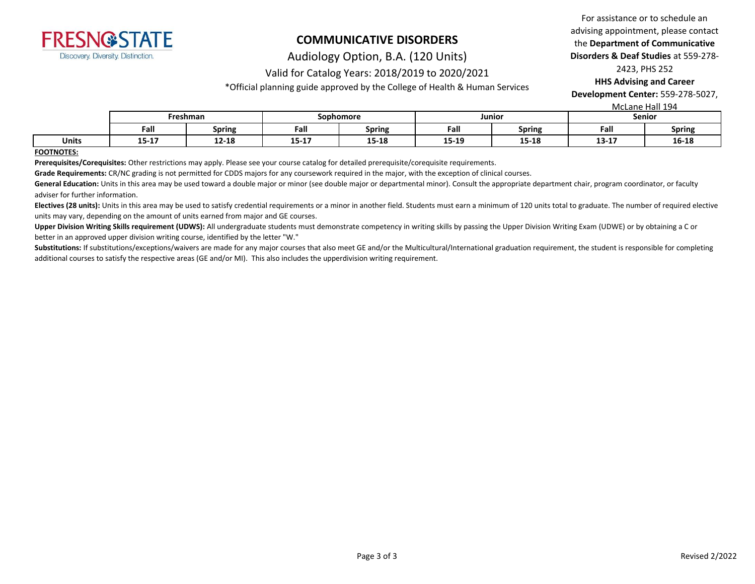

Audiology Option, B.A. (120 Units)

## Valid for Catalog Years: 2018/2019 to 2020/2021

\*Official planning guide approved by the College of Health & Human Services

For assistance or to schedule an advising appointment, please contact the **Department of Communicative Disorders & Deaf Studies** at 559-278- 2423, PHS 252

**HHS Advising and Career Development Center:** 559-278-5027,

McLane Hall 194

|       |            | Freshman      |           | Sophomore                    |       | Junior                | .<br>Senior |               |
|-------|------------|---------------|-----------|------------------------------|-------|-----------------------|-------------|---------------|
|       | Fall       | <b>Spring</b> | Fall      | <b>Spring</b>                | Fall  | <b>Spring</b>         | Fall        | <b>Spring</b> |
| Units | .<br>T3-T' | $12 - 18$     | $15 - 17$ | $\sim$<br>- 10<br>TJ.<br>-10 | 15-19 | <b>1F 10</b><br>T2-T9 | $13 - 17$   | 16-18         |

#### **FOOTNOTES:**

**Prerequisites/Corequisites:** Other restrictions may apply. Please see your course catalog for detailed prerequisite/corequisite requirements.

**Grade Requirements:** CR/NC grading is not permitted for CDDS majors for any coursework required in the major, with the exception of clinical courses.

General Education: Units in this area may be used toward a double major or minor (see double major or departmental minor). Consult the appropriate department chair, program coordinator, or faculty adviser for further information.

Electives (28 units): Units in this area may be used to satisfy credential requirements or a minor in another field. Students must earn a minimum of 120 units total to graduate. The number of required elective units may vary, depending on the amount of units earned from major and GE courses.

Upper Division Writing Skills requirement (UDWS): All undergraduate students must demonstrate competency in writing skills by passing the Upper Division Writing Exam (UDWE) or by obtaining a C or better in an approved upper division writing course, identified by the letter "W."

Substitutions: If substitutions/exceptions/waivers are made for any major courses that also meet GE and/or the Multicultural/International graduation requirement, the student is responsible for completing additional courses to satisfy the respective areas (GE and/or MI). This also includes the upperdivision writing requirement.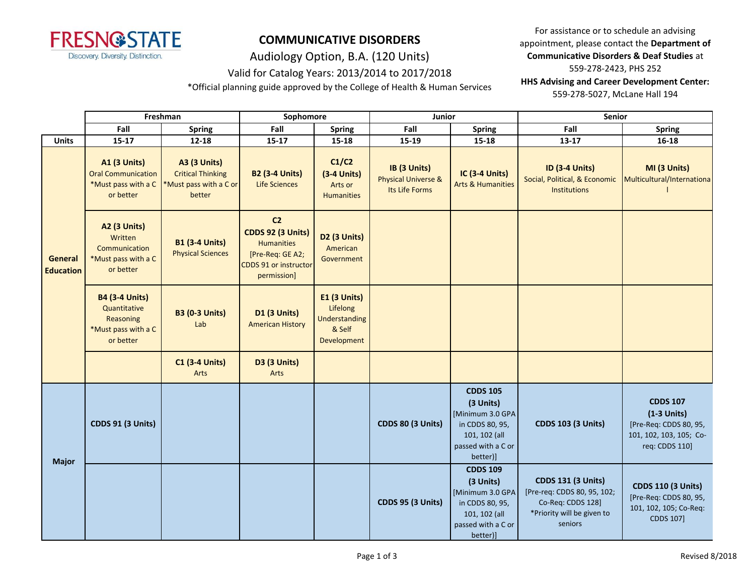

Audiology Option, B.A. (120 Units)

## Valid for Catalog Years: 2013/2014 to 2017/2018

\*Official planning guide approved by the College of Health & Human Services

For assistance or to schedule an advising appointment, please contact the **Department of Communicative Disorders & Deaf Studies** at 559-278-2423, PHS 252 **HHS Advising and Career Development Center:**  559-278-5027, McLane Hall 194

|                             | Freshman                                                                               |                                                                                     | Sophomore                                                                                                                   |                                                                           | Junior                                                           |                                                                                                                        | Senior                                                                                                                 |                                                                                                         |  |
|-----------------------------|----------------------------------------------------------------------------------------|-------------------------------------------------------------------------------------|-----------------------------------------------------------------------------------------------------------------------------|---------------------------------------------------------------------------|------------------------------------------------------------------|------------------------------------------------------------------------------------------------------------------------|------------------------------------------------------------------------------------------------------------------------|---------------------------------------------------------------------------------------------------------|--|
|                             | Fall                                                                                   | <b>Spring</b>                                                                       | Fall                                                                                                                        | <b>Spring</b>                                                             | Fall                                                             | <b>Spring</b>                                                                                                          | Fall                                                                                                                   | <b>Spring</b>                                                                                           |  |
| <b>Units</b>                | $15 - 17$                                                                              | 12-18                                                                               | $15 - 17$                                                                                                                   | $15 - 18$                                                                 | $15-19$                                                          | 15-18                                                                                                                  | $13 - 17$                                                                                                              | $16 - 18$                                                                                               |  |
| General<br><b>Education</b> | <b>A1 (3 Units)</b><br><b>Oral Communication</b><br>*Must pass with a C<br>or better   | <b>A3 (3 Units)</b><br><b>Critical Thinking</b><br>*Must pass with a C or<br>better | <b>B2 (3-4 Units)</b><br><b>Life Sciences</b>                                                                               | C1/C2<br>$(3-4$ Units)<br>Arts or<br><b>Humanities</b>                    | IB (3 Units)<br><b>Physical Universe &amp;</b><br>Its Life Forms | <b>IC (3-4 Units)</b><br><b>Arts &amp; Humanities</b>                                                                  | ID (3-4 Units)<br>Social, Political, & Economic<br><b>Institutions</b>                                                 | MI (3 Units)<br>Multicultural/Internationa                                                              |  |
|                             | <b>A2 (3 Units)</b><br>Written<br>Communication<br>*Must pass with a C<br>or better    | <b>B1 (3-4 Units)</b><br><b>Physical Sciences</b>                                   | C <sub>2</sub><br><b>CDDS 92 (3 Units)</b><br><b>Humanities</b><br>[Pre-Req: GE A2;<br>CDDS 91 or instructor<br>permission] | <b>D2 (3 Units)</b><br>American<br>Government                             |                                                                  |                                                                                                                        |                                                                                                                        |                                                                                                         |  |
|                             | <b>B4 (3-4 Units)</b><br>Quantitative<br>Reasoning<br>*Must pass with a C<br>or better | <b>B3 (0-3 Units)</b><br>Lab                                                        | <b>D1 (3 Units)</b><br><b>American History</b>                                                                              | E1 (3 Units)<br>Lifelong<br><b>Understanding</b><br>& Self<br>Development |                                                                  |                                                                                                                        |                                                                                                                        |                                                                                                         |  |
|                             |                                                                                        | <b>C1 (3-4 Units)</b><br>Arts                                                       | <b>D3 (3 Units)</b><br>Arts                                                                                                 |                                                                           |                                                                  |                                                                                                                        |                                                                                                                        |                                                                                                         |  |
|                             | <b>CDDS 91 (3 Units)</b>                                                               |                                                                                     |                                                                                                                             |                                                                           | <b>CDDS 80 (3 Units)</b>                                         | <b>CDDS 105</b><br>(3 Units)<br>[Minimum 3.0 GPA<br>in CDDS 80, 95,<br>101, 102 (all<br>passed with a C or<br>better)] | <b>CDDS 103 (3 Units)</b>                                                                                              | <b>CDDS 107</b><br>$(1-3$ Units)<br>[Pre-Req: CDDS 80, 95,<br>101, 102, 103, 105; Co-<br>req: CDDS 110] |  |
| <b>Major</b>                |                                                                                        |                                                                                     |                                                                                                                             |                                                                           | <b>CDDS 95 (3 Units)</b>                                         | <b>CDDS 109</b><br>(3 Units)<br>[Minimum 3.0 GPA<br>in CDDS 80, 95,<br>101, 102 (all<br>passed with a C or<br>better)] | <b>CDDS 131 (3 Units)</b><br>[Pre-req: CDDS 80, 95, 102;<br>Co-Req: CDDS 128]<br>*Priority will be given to<br>seniors | <b>CDDS 110 (3 Units)</b><br>[Pre-Req: CDDS 80, 95,<br>101, 102, 105; Co-Req:<br><b>CDDS 107]</b>       |  |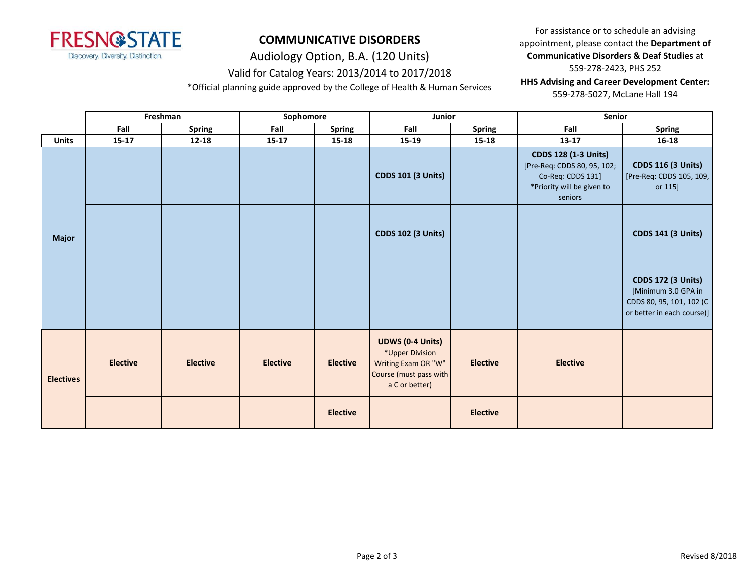

Audiology Option, B.A. (120 Units)

## Valid for Catalog Years: 2013/2014 to 2017/2018

\*Official planning guide approved by the College of Health & Human Services

For assistance or to schedule an advising appointment, please contact the **Department of Communicative Disorders & Deaf Studies** at 559-278-2423, PHS 252 **HHS Advising and Career Development Center:**  559-278-5027, McLane Hall 194

|                  | Freshman        |                 | Sophomore       |                 | Junior                                                                                                        |                 | Senior                                                                                                                   |                                                                                                            |
|------------------|-----------------|-----------------|-----------------|-----------------|---------------------------------------------------------------------------------------------------------------|-----------------|--------------------------------------------------------------------------------------------------------------------------|------------------------------------------------------------------------------------------------------------|
|                  | Fall            | <b>Spring</b>   | Fall            | <b>Spring</b>   | Fall                                                                                                          | <b>Spring</b>   | Fall                                                                                                                     | <b>Spring</b>                                                                                              |
| <b>Units</b>     | $15 - 17$       | $12 - 18$       | $15 - 17$       | 15-18           | 15-19                                                                                                         | $15 - 18$       | $13-17$                                                                                                                  | $16 - 18$                                                                                                  |
|                  |                 |                 |                 |                 | <b>CDDS 101 (3 Units)</b>                                                                                     |                 | <b>CDDS 128 (1-3 Units)</b><br>[Pre-Req: CDDS 80, 95, 102;<br>Co-Req: CDDS 131]<br>*Priority will be given to<br>seniors | <b>CDDS 116 (3 Units)</b><br>[Pre-Req: CDDS 105, 109,<br>or 115]                                           |
| <b>Major</b>     |                 |                 |                 |                 | <b>CDDS 102 (3 Units)</b>                                                                                     |                 |                                                                                                                          | <b>CDDS 141 (3 Units)</b>                                                                                  |
|                  |                 |                 |                 |                 |                                                                                                               |                 |                                                                                                                          | <b>CDDS 172 (3 Units)</b><br>[Minimum 3.0 GPA in<br>CDDS 80, 95, 101, 102 (C<br>or better in each course)] |
| <b>Electives</b> | <b>Elective</b> | <b>Elective</b> | <b>Elective</b> | <b>Elective</b> | <b>UDWS (0-4 Units)</b><br>*Upper Division<br>Writing Exam OR "W"<br>Course (must pass with<br>a C or better) | <b>Elective</b> | <b>Elective</b>                                                                                                          |                                                                                                            |
|                  |                 |                 |                 | <b>Elective</b> |                                                                                                               | <b>Elective</b> |                                                                                                                          |                                                                                                            |